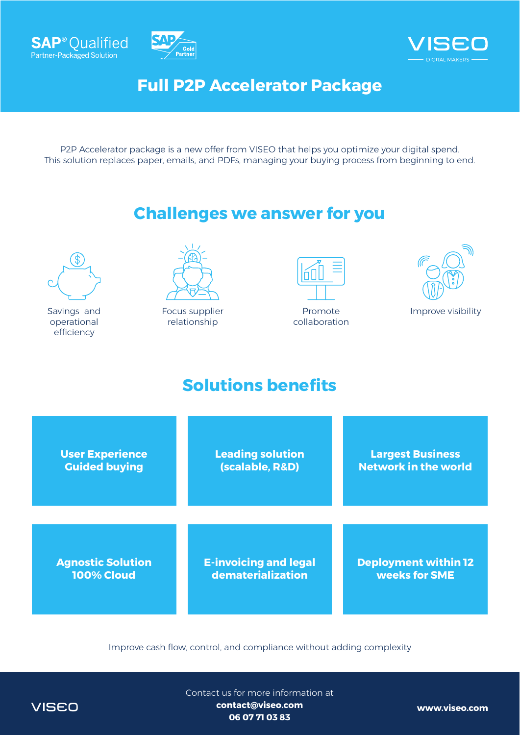





**Full P2P Accelerator Package**

P2P Accelerator package is a new offer from VISEO that helps you optimize your digital spend. This solution replaces paper, emails, and PDFs, managing your buying process from beginning to end.

## **Challenges we answer for you**



Savings and operational **efficiency** 



Focus supplier relationship



collaboration



## **Solutions benefits**

| <b>User Experience</b>   | <b>Leading solution</b>      | <b>Largest Business</b>     |
|--------------------------|------------------------------|-----------------------------|
| <b>Guided buying</b>     | (scalable, R&D)              | <b>Network in the world</b> |
| <b>Agnostic Solution</b> | <b>E-invoicing and legal</b> | <b>Deployment within 12</b> |
| <b>100% Cloud</b>        | dematerialization            | <b>weeks for SME</b>        |

Improve cash flow, control, and compliance without adding complexity



Contact us for more information at **contact@viseo.com 06 07 71 03 83**

**www.viseo.com**